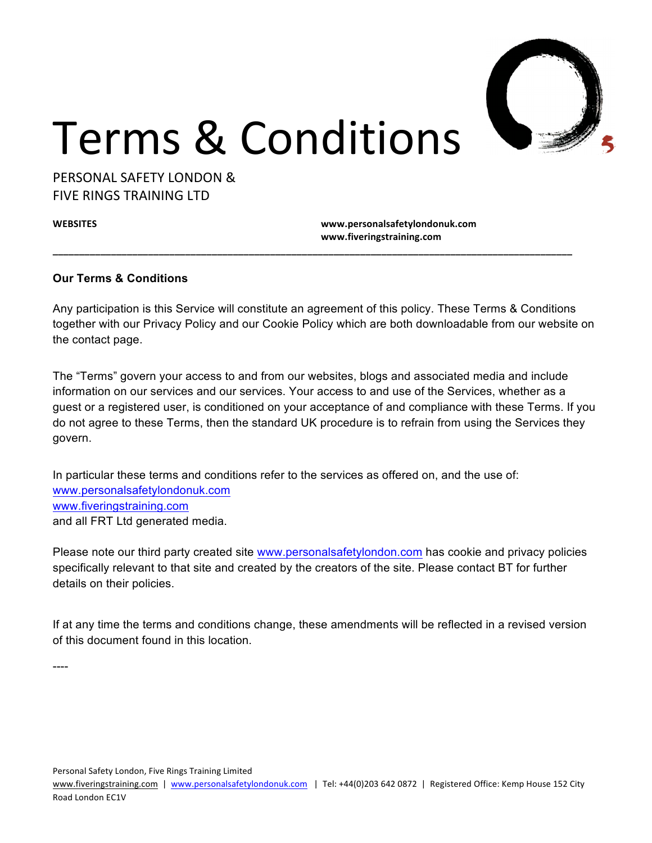

# Terms & Conditions

PERSONAL SAFFTY LONDON & FIVE RINGS TRAINING LTD

**WEBSITES www.personalsafetylondonuk.com www.fiveringstraining.com**

### **Our Terms & Conditions**

Any participation is this Service will constitute an agreement of this policy. These Terms & Conditions together with our Privacy Policy and our Cookie Policy which are both downloadable from our website on the contact page.

**\_\_\_\_\_\_\_\_\_\_\_\_\_\_\_\_\_\_\_\_\_\_\_\_\_\_\_\_\_\_\_\_\_\_\_\_\_\_\_\_\_\_\_\_\_\_\_\_\_\_\_\_\_\_\_\_\_\_\_\_\_\_\_\_\_\_\_\_\_\_\_\_\_\_\_\_\_\_\_\_\_\_\_\_\_\_\_\_\_\_\_\_\_\_\_\_\_\_**

The "Terms" govern your access to and from our websites, blogs and associated media and include information on our services and our services. Your access to and use of the Services, whether as a guest or a registered user, is conditioned on your acceptance of and compliance with these Terms. If you do not agree to these Terms, then the standard UK procedure is to refrain from using the Services they govern.

In particular these terms and conditions refer to the services as offered on, and the use of: [www.personalsafetylondonuk.com](http://www.personalsafetylondonuk.com) [www.fiveringstraining.com](http://www.fiveringstraining.com) and all FRT Ltd generated media.

Please note our third party created site [www.personalsafetylondon.com](http://www.personalsafetylondon.com) has cookie and privacy policies specifically relevant to that site and created by the creators of the site. Please contact BT for further details on their policies.

If at any time the terms and conditions change, these amendments will be reflected in a revised version of this document found in this location.

----

Personal Safety London, Five Rings Training Limited www.fiveringstraining.com | www.personalsafetylondonuk.com | Tel: +44(0)203 642 0872 | Registered Office: Kemp House 152 City Road London EC1V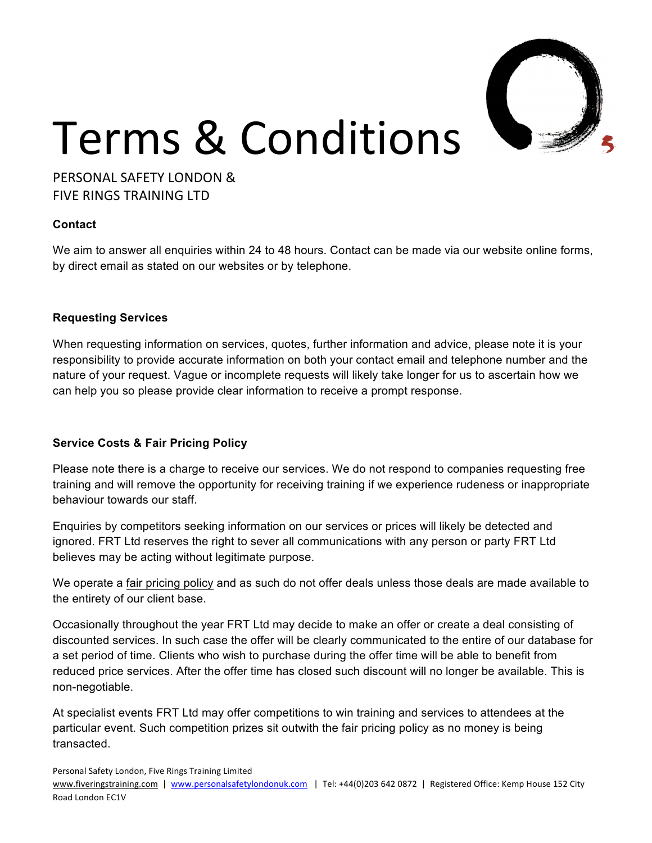

## Terms & Conditions

PERSONAL SAFFTY LONDON & FIVE RINGS TRAINING LTD

### **Contact**

We aim to answer all enquiries within 24 to 48 hours. Contact can be made via our website online forms, by direct email as stated on our websites or by telephone.

### **Requesting Services**

When requesting information on services, quotes, further information and advice, please note it is your responsibility to provide accurate information on both your contact email and telephone number and the nature of your request. Vague or incomplete requests will likely take longer for us to ascertain how we can help you so please provide clear information to receive a prompt response.

### **Service Costs & Fair Pricing Policy**

Please note there is a charge to receive our services. We do not respond to companies requesting free training and will remove the opportunity for receiving training if we experience rudeness or inappropriate behaviour towards our staff.

Enquiries by competitors seeking information on our services or prices will likely be detected and ignored. FRT Ltd reserves the right to sever all communications with any person or party FRT Ltd believes may be acting without legitimate purpose.

We operate a fair pricing policy and as such do not offer deals unless those deals are made available to the entirety of our client base.

Occasionally throughout the year FRT Ltd may decide to make an offer or create a deal consisting of discounted services. In such case the offer will be clearly communicated to the entire of our database for a set period of time. Clients who wish to purchase during the offer time will be able to benefit from reduced price services. After the offer time has closed such discount will no longer be available. This is non-negotiable.

At specialist events FRT Ltd may offer competitions to win training and services to attendees at the particular event. Such competition prizes sit outwith the fair pricing policy as no money is being transacted.

Personal Safety London, Five Rings Training Limited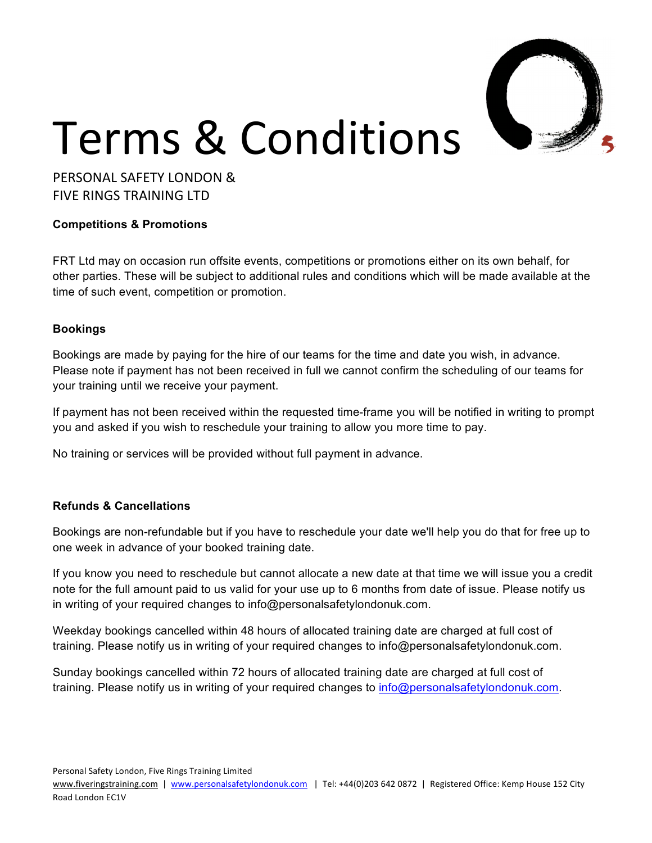

PERSONAL SAFFTY LONDON & FIVE RINGS TRAINING LTD

### **Competitions & Promotions**

FRT Ltd may on occasion run offsite events, competitions or promotions either on its own behalf, for other parties. These will be subject to additional rules and conditions which will be made available at the time of such event, competition or promotion.

### **Bookings**

Bookings are made by paying for the hire of our teams for the time and date you wish, in advance. Please note if payment has not been received in full we cannot confirm the scheduling of our teams for your training until we receive your payment.

If payment has not been received within the requested time-frame you will be notified in writing to prompt you and asked if you wish to reschedule your training to allow you more time to pay.

No training or services will be provided without full payment in advance.

### **Refunds & Cancellations**

Bookings are non-refundable but if you have to reschedule your date we'll help you do that for free up to one week in advance of your booked training date.

If you know you need to reschedule but cannot allocate a new date at that time we will issue you a credit note for the full amount paid to us valid for your use up to 6 months from date of issue. Please notify us in writing of your required changes to info@personalsafetylondonuk.com.

Weekday bookings cancelled within 48 hours of allocated training date are charged at full cost of training. Please notify us in writing of your required changes to info@personalsafetylondonuk.com.

Sunday bookings cancelled within 72 hours of allocated training date are charged at full cost of training. Please notify us in writing of your required changes to [info@personalsafetylondonuk.com.](mailto:info@personalsafetylondonuk.com)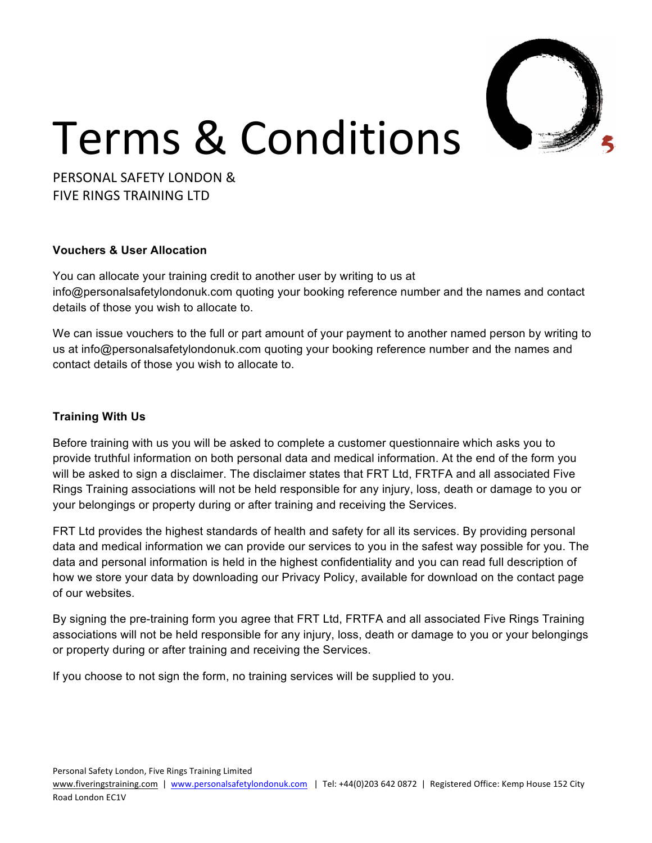

PERSONAL SAFFTY LONDON & FIVE RINGS TRAINING LTD

### **Vouchers & User Allocation**

You can allocate your training credit to another user by writing to us at info@personalsafetylondonuk.com quoting your booking reference number and the names and contact details of those you wish to allocate to.

We can issue vouchers to the full or part amount of your payment to another named person by writing to us at info@personalsafetylondonuk.com quoting your booking reference number and the names and contact details of those you wish to allocate to.

### **Training With Us**

Before training with us you will be asked to complete a customer questionnaire which asks you to provide truthful information on both personal data and medical information. At the end of the form you will be asked to sign a disclaimer. The disclaimer states that FRT Ltd, FRTFA and all associated Five Rings Training associations will not be held responsible for any injury, loss, death or damage to you or your belongings or property during or after training and receiving the Services.

FRT Ltd provides the highest standards of health and safety for all its services. By providing personal data and medical information we can provide our services to you in the safest way possible for you. The data and personal information is held in the highest confidentiality and you can read full description of how we store your data by downloading our Privacy Policy, available for download on the contact page of our websites.

By signing the pre-training form you agree that FRT Ltd, FRTFA and all associated Five Rings Training associations will not be held responsible for any injury, loss, death or damage to you or your belongings or property during or after training and receiving the Services.

If you choose to not sign the form, no training services will be supplied to you.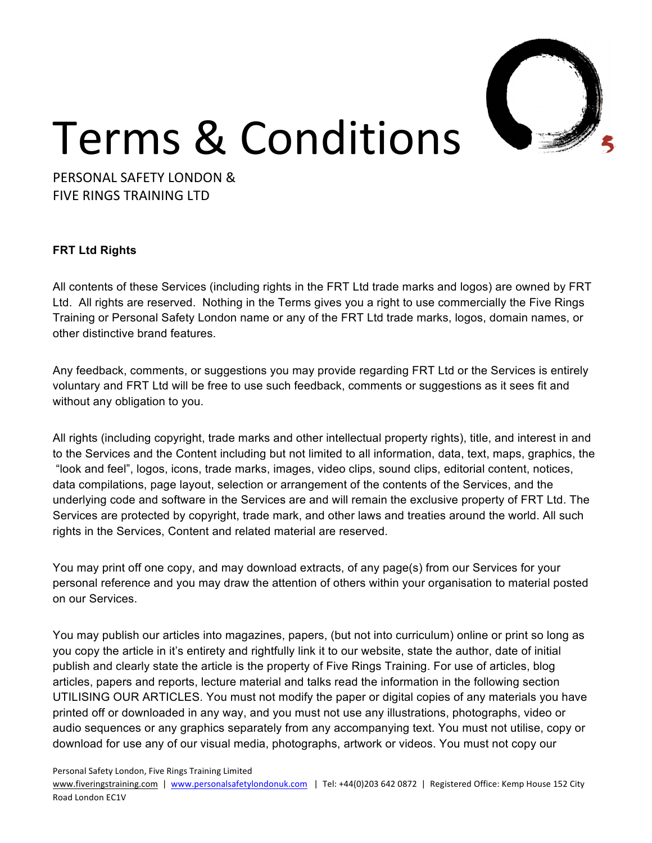

PERSONAL SAFFTY LONDON & FIVE RINGS TRAINING LTD

### **FRT Ltd Rights**

All contents of these Services (including rights in the FRT Ltd trade marks and logos) are owned by FRT Ltd. All rights are reserved. Nothing in the Terms gives you a right to use commercially the Five Rings Training or Personal Safety London name or any of the FRT Ltd trade marks, logos, domain names, or other distinctive brand features.

Any feedback, comments, or suggestions you may provide regarding FRT Ltd or the Services is entirely voluntary and FRT Ltd will be free to use such feedback, comments or suggestions as it sees fit and without any obligation to you.

All rights (including copyright, trade marks and other intellectual property rights), title, and interest in and to the Services and the Content including but not limited to all information, data, text, maps, graphics, the "look and feel", logos, icons, trade marks, images, video clips, sound clips, editorial content, notices, data compilations, page layout, selection or arrangement of the contents of the Services, and the underlying code and software in the Services are and will remain the exclusive property of FRT Ltd. The Services are protected by copyright, trade mark, and other laws and treaties around the world. All such rights in the Services, Content and related material are reserved.

You may print off one copy, and may download extracts, of any page(s) from our Services for your personal reference and you may draw the attention of others within your organisation to material posted on our Services.

You may publish our articles into magazines, papers, (but not into curriculum) online or print so long as you copy the article in it's entirety and rightfully link it to our website, state the author, date of initial publish and clearly state the article is the property of Five Rings Training. For use of articles, blog articles, papers and reports, lecture material and talks read the information in the following section UTILISING OUR ARTICLES. You must not modify the paper or digital copies of any materials you have printed off or downloaded in any way, and you must not use any illustrations, photographs, video or audio sequences or any graphics separately from any accompanying text. You must not utilise, copy or download for use any of our visual media, photographs, artwork or videos. You must not copy our

Personal Safety London, Five Rings Training Limited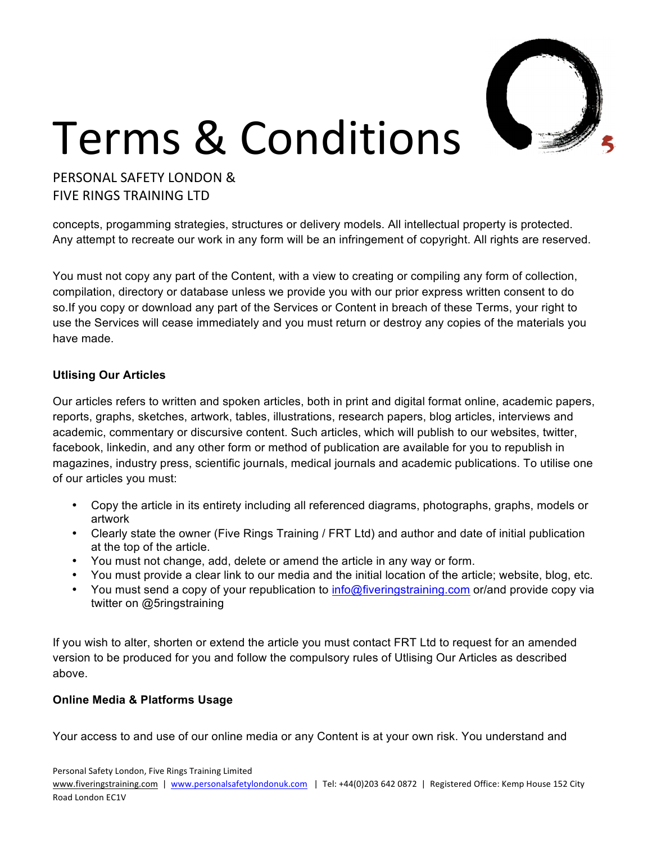

PERSONAL SAFFTY LONDON & **FIVE RINGS TRAINING LTD** 

concepts, progamming strategies, structures or delivery models. All intellectual property is protected. Any attempt to recreate our work in any form will be an infringement of copyright. All rights are reserved.

You must not copy any part of the Content, with a view to creating or compiling any form of collection, compilation, directory or database unless we provide you with our prior express written consent to do so.If you copy or download any part of the Services or Content in breach of these Terms, your right to use the Services will cease immediately and you must return or destroy any copies of the materials you have made.

### **Utlising Our Articles**

Our articles refers to written and spoken articles, both in print and digital format online, academic papers, reports, graphs, sketches, artwork, tables, illustrations, research papers, blog articles, interviews and academic, commentary or discursive content. Such articles, which will publish to our websites, twitter, facebook, linkedin, and any other form or method of publication are available for you to republish in magazines, industry press, scientific journals, medical journals and academic publications. To utilise one of our articles you must:

- Copy the article in its entirety including all referenced diagrams, photographs, graphs, models or artwork
- Clearly state the owner (Five Rings Training / FRT Ltd) and author and date of initial publication at the top of the article.
- You must not change, add, delete or amend the article in any way or form.
- You must provide a clear link to our media and the initial location of the article; website, blog, etc.
- You must send a copy of your republication to **[info@fiveringstraining.com](mailto:info@fiveringstraining.com)** or/and provide copy via twitter on @5ringstraining

If you wish to alter, shorten or extend the article you must contact FRT Ltd to request for an amended version to be produced for you and follow the compulsory rules of Utlising Our Articles as described above.

### **Online Media & Platforms Usage**

Your access to and use of our online media or any Content is at your own risk. You understand and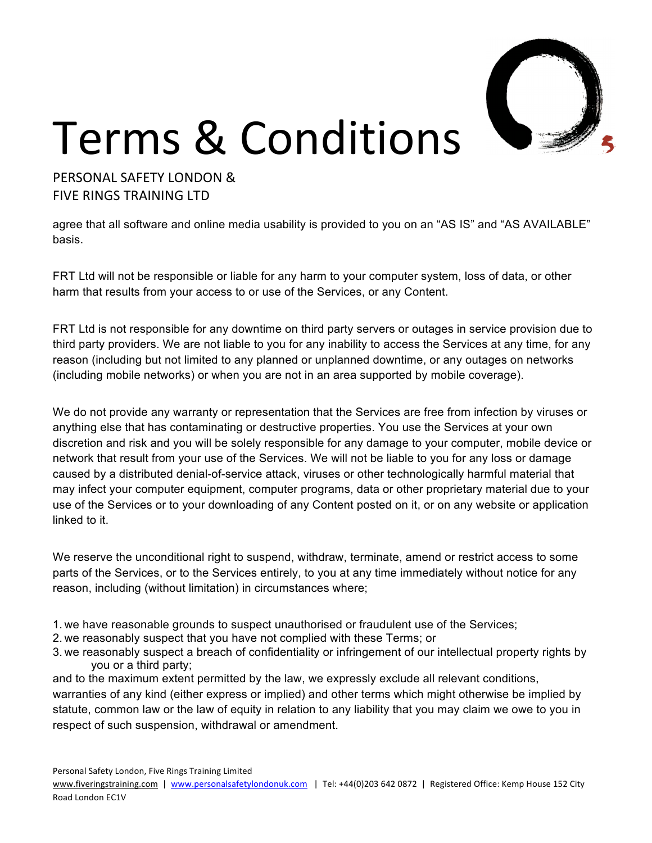

PERSONAL SAFFTY LONDON & FIVE RINGS TRAINING LTD

agree that all software and online media usability is provided to you on an "AS IS" and "AS AVAILABLE" basis.

FRT Ltd will not be responsible or liable for any harm to your computer system, loss of data, or other harm that results from your access to or use of the Services, or any Content.

FRT Ltd is not responsible for any downtime on third party servers or outages in service provision due to third party providers. We are not liable to you for any inability to access the Services at any time, for any reason (including but not limited to any planned or unplanned downtime, or any outages on networks (including mobile networks) or when you are not in an area supported by mobile coverage).

We do not provide any warranty or representation that the Services are free from infection by viruses or anything else that has contaminating or destructive properties. You use the Services at your own discretion and risk and you will be solely responsible for any damage to your computer, mobile device or network that result from your use of the Services. We will not be liable to you for any loss or damage caused by a distributed denial-of-service attack, viruses or other technologically harmful material that may infect your computer equipment, computer programs, data or other proprietary material due to your use of the Services or to your downloading of any Content posted on it, or on any website or application linked to it.

We reserve the unconditional right to suspend, withdraw, terminate, amend or restrict access to some parts of the Services, or to the Services entirely, to you at any time immediately without notice for any reason, including (without limitation) in circumstances where;

- 1. we have reasonable grounds to suspect unauthorised or fraudulent use of the Services;
- 2. we reasonably suspect that you have not complied with these Terms; or
- 3. we reasonably suspect a breach of confidentiality or infringement of our intellectual property rights by you or a third party;

and to the maximum extent permitted by the law, we expressly exclude all relevant conditions, warranties of any kind (either express or implied) and other terms which might otherwise be implied by statute, common law or the law of equity in relation to any liability that you may claim we owe to you in respect of such suspension, withdrawal or amendment.

Personal Safety London, Five Rings Training Limited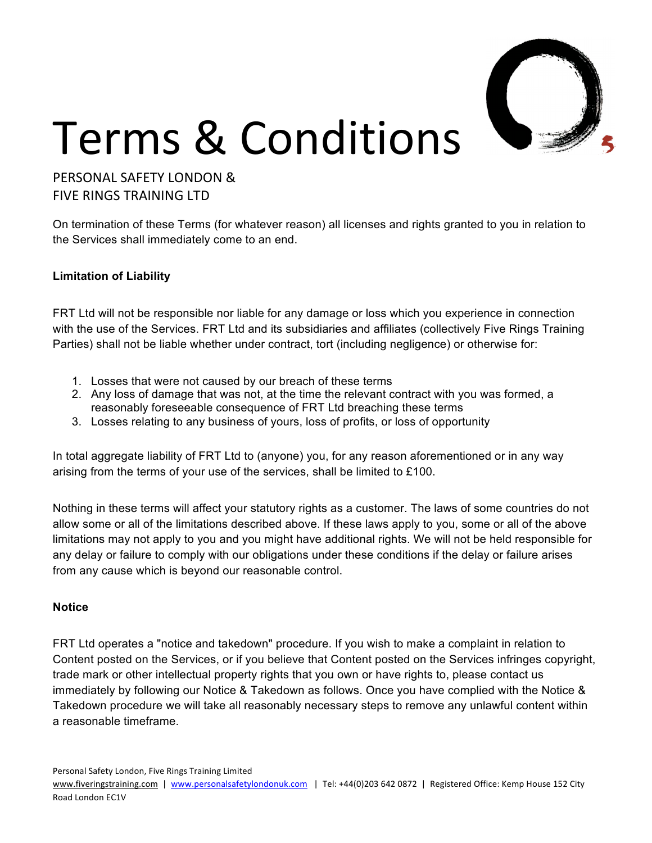

PERSONAL SAFFTY LONDON & FIVE RINGS TRAINING LTD

On termination of these Terms (for whatever reason) all licenses and rights granted to you in relation to the Services shall immediately come to an end.

### **Limitation of Liability**

FRT Ltd will not be responsible nor liable for any damage or loss which you experience in connection with the use of the Services. FRT Ltd and its subsidiaries and affiliates (collectively Five Rings Training Parties) shall not be liable whether under contract, tort (including negligence) or otherwise for:

- 1. Losses that were not caused by our breach of these terms
- 2. Any loss of damage that was not, at the time the relevant contract with you was formed, a reasonably foreseeable consequence of FRT Ltd breaching these terms
- 3. Losses relating to any business of yours, loss of profits, or loss of opportunity

In total aggregate liability of FRT Ltd to (anyone) you, for any reason aforementioned or in any way arising from the terms of your use of the services, shall be limited to £100.

Nothing in these terms will affect your statutory rights as a customer. The laws of some countries do not allow some or all of the limitations described above. If these laws apply to you, some or all of the above limitations may not apply to you and you might have additional rights. We will not be held responsible for any delay or failure to comply with our obligations under these conditions if the delay or failure arises from any cause which is beyond our reasonable control.

### **Notice**

FRT Ltd operates a "notice and takedown" procedure. If you wish to make a complaint in relation to Content posted on the Services, or if you believe that Content posted on the Services infringes copyright, trade mark or other intellectual property rights that you own or have rights to, please contact us immediately by following our Notice & Takedown as follows. Once you have complied with the Notice & Takedown procedure we will take all reasonably necessary steps to remove any unlawful content within a reasonable timeframe.